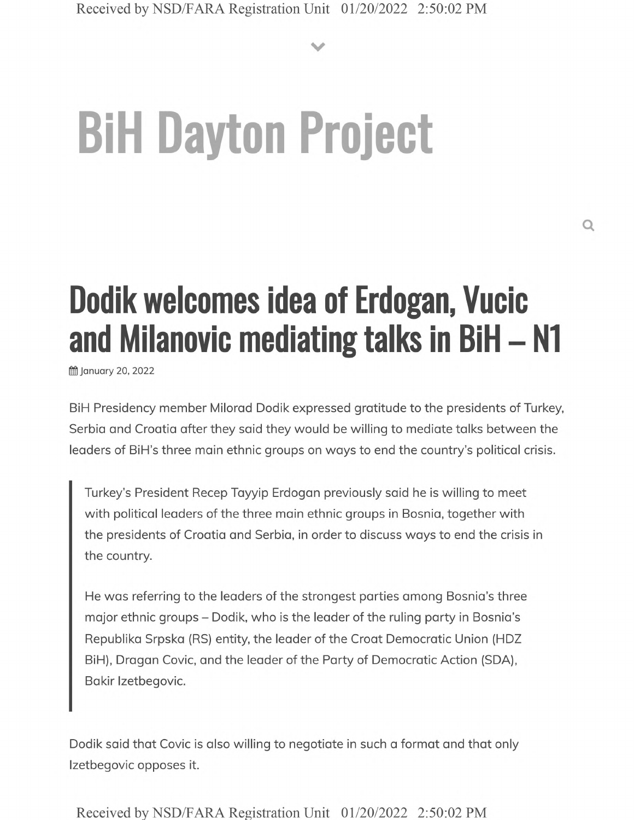**V**

## **BiH Dayton Project**

## **Dodik welcomes idea of Erdogan, Vucic and Milanovic mediating talks in BiH - N1**

**前 January 20, 2022** 

BiH Presidency member Milorad Dodik expressed gratitude to the presidents of Turkey, Serbia and Croatia after they said they would be willing to mediate talks between the leaders of BiH's three main ethnic groups on ways to end the country's political crisis.

Turkey's President Recep Tayyip Erdogan previously said he is willing to meet with political leaders of the three main ethnic groups in Bosnia, together with the presidents of Croatia and Serbia, in order to discuss ways to end the crisis in the country.

He was referring to the leaders of the strongest parties among Bosnia's three major ethnic groups - Dodik, who is the leader of the ruling party in Bosnia's Republika Srpska (RS) entity, the leader of the Croat Democratic Union (HDZ BiH), Dragan Covic, and the leader of the Party of Democratic Action (SDA), Bakir Izetbegovic.

Dodik said that Covic is also willing to negotiate in such a format and that only Izetbegovic opposes it.

Received by NSD/FARA Registration Unit 01/20/2022 2:50:02 PM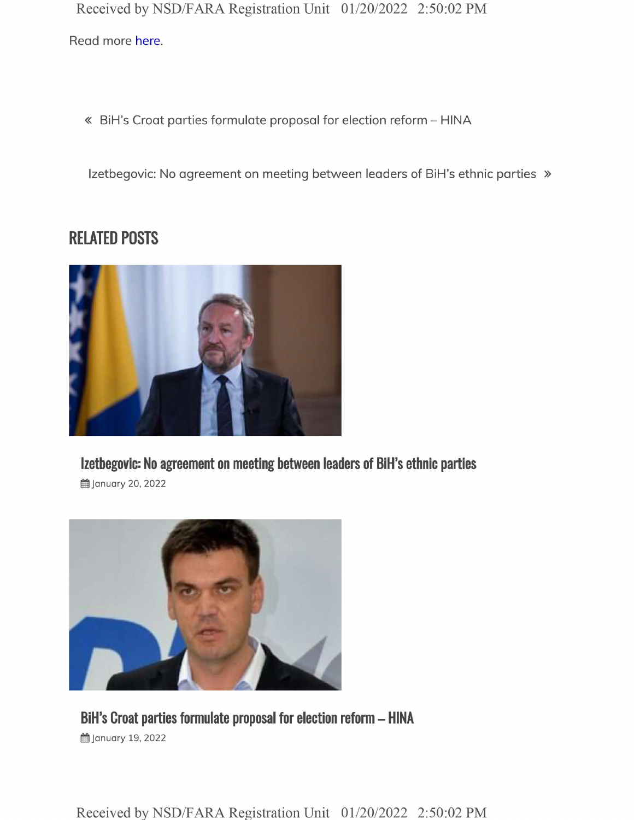Received by NSD/FARA Registration Unit 01/20/2022 2:50:02 PM Read more here.

« BiH's Croat parties formulate proposal for election reform - HINA

Izetbegovic: No agreement on meeting between leaders of BiH's ethnic parties  $\gg$ 

## **RELATED POSTS**



**Izetbegovic: No agreement on meeting between leaders of BiH's ethnic parties**

**的January 20, 2022** 



**BiH's Croat parties formulate proposal for election reform - HINA 曲 January 19, 2022** 

Received by NSD/FARA Registration Unit 01/20/2022 2:50:02 PM